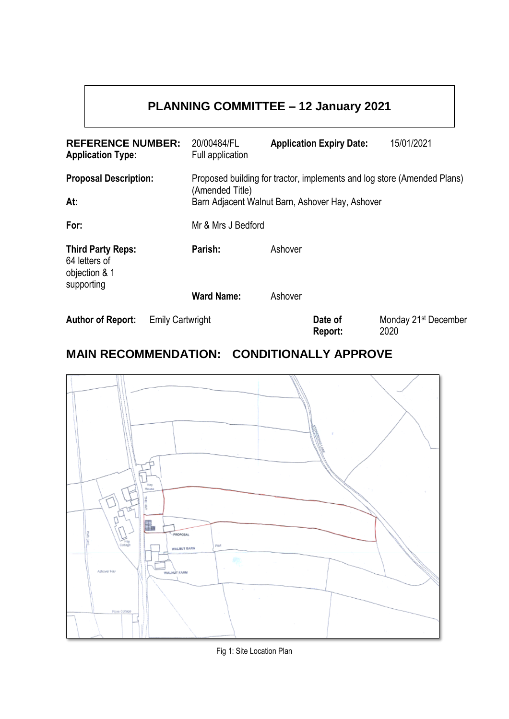# **PLANNING COMMITTEE – 12 January 2021**

| <b>REFERENCE NUMBER:</b><br><b>Application Type:</b>                     |                         | 20/00484/FL<br>Full application                                         |         | <b>Application Expiry Date:</b> | 15/01/2021                               |
|--------------------------------------------------------------------------|-------------------------|-------------------------------------------------------------------------|---------|---------------------------------|------------------------------------------|
| <b>Proposal Description:</b>                                             |                         | Proposed building for tractor, implements and log store (Amended Plans) |         |                                 |                                          |
| At:                                                                      |                         | (Amended Title)<br>Barn Adjacent Walnut Barn, Ashover Hay, Ashover      |         |                                 |                                          |
| For:                                                                     |                         | Mr & Mrs J Bedford                                                      |         |                                 |                                          |
| <b>Third Party Reps:</b><br>64 letters of<br>objection & 1<br>supporting |                         | Parish:                                                                 | Ashover |                                 |                                          |
|                                                                          |                         | <b>Ward Name:</b>                                                       | Ashover |                                 |                                          |
| <b>Author of Report:</b>                                                 | <b>Emily Cartwright</b> |                                                                         |         | Date of<br>Report:              | Monday 21 <sup>st</sup> December<br>2020 |

# **MAIN RECOMMENDATION: CONDITIONALLY APPROVE**



Fig 1: Site Location Plan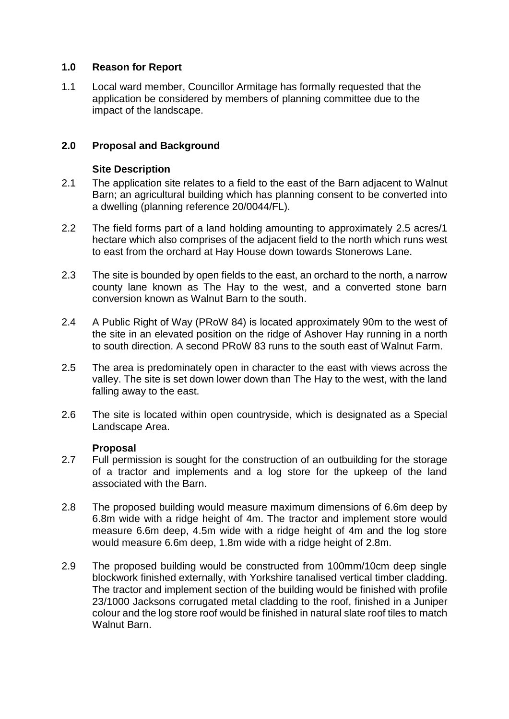# **1.0 Reason for Report**

1.1 Local ward member, Councillor Armitage has formally requested that the application be considered by members of planning committee due to the impact of the landscape.

# **2.0 Proposal and Background**

#### **Site Description**

- 2.1 The application site relates to a field to the east of the Barn adjacent to Walnut Barn; an agricultural building which has planning consent to be converted into a dwelling (planning reference 20/0044/FL).
- 2.2 The field forms part of a land holding amounting to approximately 2.5 acres/1 hectare which also comprises of the adjacent field to the north which runs west to east from the orchard at Hay House down towards Stonerows Lane.
- 2.3 The site is bounded by open fields to the east, an orchard to the north, a narrow county lane known as The Hay to the west, and a converted stone barn conversion known as Walnut Barn to the south.
- 2.4 A Public Right of Way (PRoW 84) is located approximately 90m to the west of the site in an elevated position on the ridge of Ashover Hay running in a north to south direction. A second PRoW 83 runs to the south east of Walnut Farm.
- 2.5 The area is predominately open in character to the east with views across the valley. The site is set down lower down than The Hay to the west, with the land falling away to the east.
- 2.6 The site is located within open countryside, which is designated as a Special Landscape Area.

# **Proposal**

- 2.7 Full permission is sought for the construction of an outbuilding for the storage of a tractor and implements and a log store for the upkeep of the land associated with the Barn.
- 2.8 The proposed building would measure maximum dimensions of 6.6m deep by 6.8m wide with a ridge height of 4m. The tractor and implement store would measure 6.6m deep, 4.5m wide with a ridge height of 4m and the log store would measure 6.6m deep, 1.8m wide with a ridge height of 2.8m.
- 2.9 The proposed building would be constructed from 100mm/10cm deep single blockwork finished externally, with Yorkshire tanalised vertical timber cladding. The tractor and implement section of the building would be finished with profile 23/1000 Jacksons corrugated metal cladding to the roof, finished in a Juniper colour and the log store roof would be finished in natural slate roof tiles to match Walnut Barn.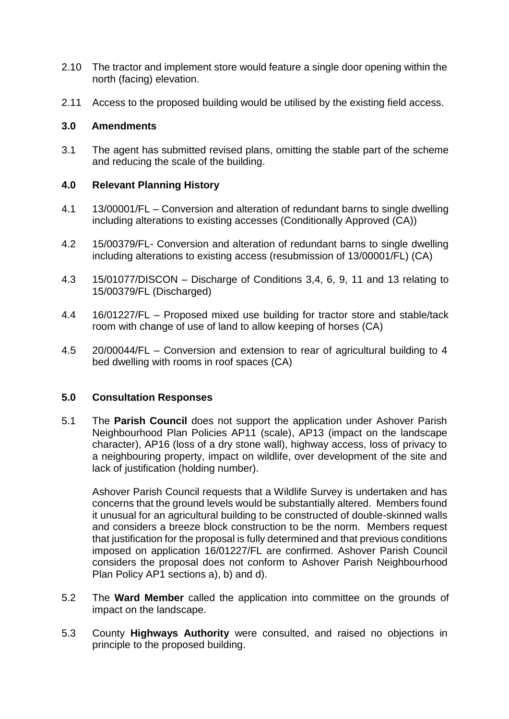- 2.10 The tractor and implement store would feature a single door opening within the north (facing) elevation.
- 2.11 Access to the proposed building would be utilised by the existing field access.

# **3.0 Amendments**

3.1 The agent has submitted revised plans, omitting the stable part of the scheme and reducing the scale of the building.

# **4.0 Relevant Planning History**

- 4.1 13/00001/FL Conversion and alteration of redundant barns to single dwelling including alterations to existing accesses (Conditionally Approved (CA))
- 4.2 15/00379/FL- Conversion and alteration of redundant barns to single dwelling including alterations to existing access (resubmission of 13/00001/FL) (CA)
- 4.3 15/01077/DISCON Discharge of Conditions 3,4, 6, 9, 11 and 13 relating to 15/00379/FL (Discharged)
- 4.4 16/01227/FL Proposed mixed use building for tractor store and stable/tack room with change of use of land to allow keeping of horses (CA)
- 4.5 20/00044/FL Conversion and extension to rear of agricultural building to 4 bed dwelling with rooms in roof spaces (CA)

## **5.0 Consultation Responses**

5.1 The **Parish Council** does not support the application under Ashover Parish Neighbourhood Plan Policies AP11 (scale), AP13 (impact on the landscape character), AP16 (loss of a dry stone wall), highway access, loss of privacy to a neighbouring property, impact on wildlife, over development of the site and lack of justification (holding number).

Ashover Parish Council requests that a Wildlife Survey is undertaken and has concerns that the ground levels would be substantially altered. Members found it unusual for an agricultural building to be constructed of double-skinned walls and considers a breeze block construction to be the norm. Members request that justification for the proposal is fully determined and that previous conditions imposed on application 16/01227/FL are confirmed. Ashover Parish Council considers the proposal does not conform to Ashover Parish Neighbourhood Plan Policy AP1 sections a), b) and d).

- 5.2 The **Ward Member** called the application into committee on the grounds of impact on the landscape.
- 5.3 County **Highways Authority** were consulted, and raised no objections in principle to the proposed building.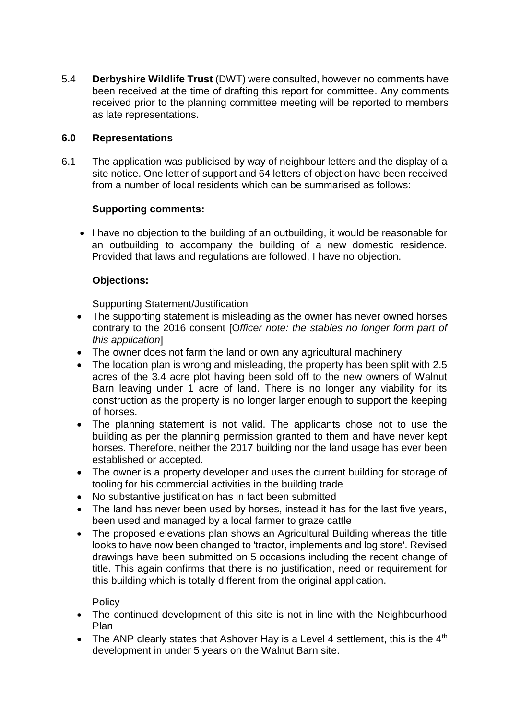5.4 **Derbyshire Wildlife Trust** (DWT) were consulted, however no comments have been received at the time of drafting this report for committee. Any comments received prior to the planning committee meeting will be reported to members as late representations.

# **6.0 Representations**

6.1 The application was publicised by way of neighbour letters and the display of a site notice. One letter of support and 64 letters of objection have been received from a number of local residents which can be summarised as follows:

# **Supporting comments:**

• I have no objection to the building of an outbuilding, it would be reasonable for an outbuilding to accompany the building of a new domestic residence. Provided that laws and regulations are followed, I have no objection.

# **Objections:**

Supporting Statement/Justification

- The supporting statement is misleading as the owner has never owned horses contrary to the 2016 consent [O*fficer note: the stables no longer form part of this application*]
- The owner does not farm the land or own any agricultural machinery
- The location plan is wrong and misleading, the property has been split with 2.5 acres of the 3.4 acre plot having been sold off to the new owners of Walnut Barn leaving under 1 acre of land. There is no longer any viability for its construction as the property is no longer larger enough to support the keeping of horses.
- The planning statement is not valid. The applicants chose not to use the building as per the planning permission granted to them and have never kept horses. Therefore, neither the 2017 building nor the land usage has ever been established or accepted.
- The owner is a property developer and uses the current building for storage of tooling for his commercial activities in the building trade
- No substantive justification has in fact been submitted
- The land has never been used by horses, instead it has for the last five years, been used and managed by a local farmer to graze cattle
- The proposed elevations plan shows an Agricultural Building whereas the title looks to have now been changed to 'tractor, implements and log store'. Revised drawings have been submitted on 5 occasions including the recent change of title. This again confirms that there is no justification, need or requirement for this building which is totally different from the original application.

**Policy** 

- The continued development of this site is not in line with the Neighbourhood Plan
- The ANP clearly states that Ashover Hay is a Level 4 settlement, this is the  $4<sup>th</sup>$ development in under 5 years on the Walnut Barn site.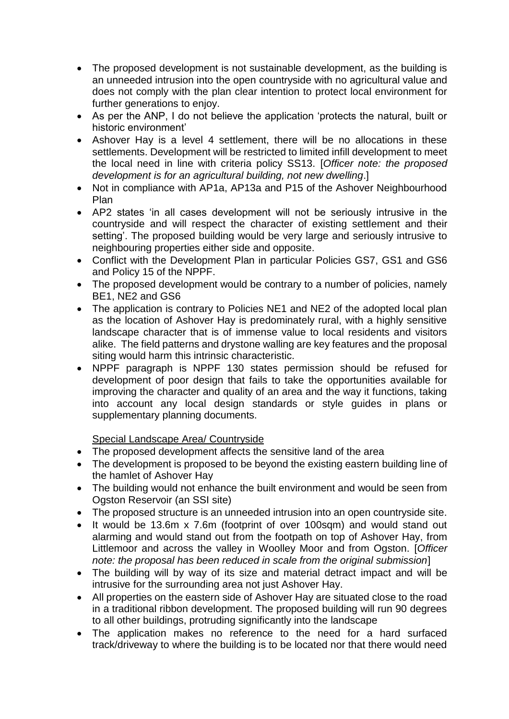- The proposed development is not sustainable development, as the building is an unneeded intrusion into the open countryside with no agricultural value and does not comply with the plan clear intention to protect local environment for further generations to enjoy.
- As per the ANP, I do not believe the application 'protects the natural, built or historic environment'
- Ashover Hay is a level 4 settlement, there will be no allocations in these settlements. Development will be restricted to limited infill development to meet the local need in line with criteria policy SS13. [*Officer note: the proposed development is for an agricultural building, not new dwelling*.]
- Not in compliance with AP1a, AP13a and P15 of the Ashover Neighbourhood Plan
- AP2 states 'in all cases development will not be seriously intrusive in the countryside and will respect the character of existing settlement and their setting'. The proposed building would be very large and seriously intrusive to neighbouring properties either side and opposite.
- Conflict with the Development Plan in particular Policies GS7, GS1 and GS6 and Policy 15 of the NPPF.
- The proposed development would be contrary to a number of policies, namely BE1, NE2 and GS6
- The application is contrary to Policies NE1 and NE2 of the adopted local plan as the location of Ashover Hay is predominately rural, with a highly sensitive landscape character that is of immense value to local residents and visitors alike. The field patterns and drystone walling are key features and the proposal siting would harm this intrinsic characteristic.
- NPPF paragraph is NPPF 130 states permission should be refused for development of poor design that fails to take the opportunities available for improving the character and quality of an area and the way it functions, taking into account any local design standards or style guides in plans or supplementary planning documents.

Special Landscape Area/ Countryside

- The proposed development affects the sensitive land of the area
- The development is proposed to be beyond the existing eastern building line of the hamlet of Ashover Hay
- The building would not enhance the built environment and would be seen from Ogston Reservoir (an SSI site)
- The proposed structure is an unneeded intrusion into an open countryside site.
- It would be 13.6m x 7.6m (footprint of over 100sqm) and would stand out alarming and would stand out from the footpath on top of Ashover Hay, from Littlemoor and across the valley in Woolley Moor and from Ogston. [*Officer note: the proposal has been reduced in scale from the original submission*]
- The building will by way of its size and material detract impact and will be intrusive for the surrounding area not just Ashover Hay.
- All properties on the eastern side of Ashover Hay are situated close to the road in a traditional ribbon development. The proposed building will run 90 degrees to all other buildings, protruding significantly into the landscape
- The application makes no reference to the need for a hard surfaced track/driveway to where the building is to be located nor that there would need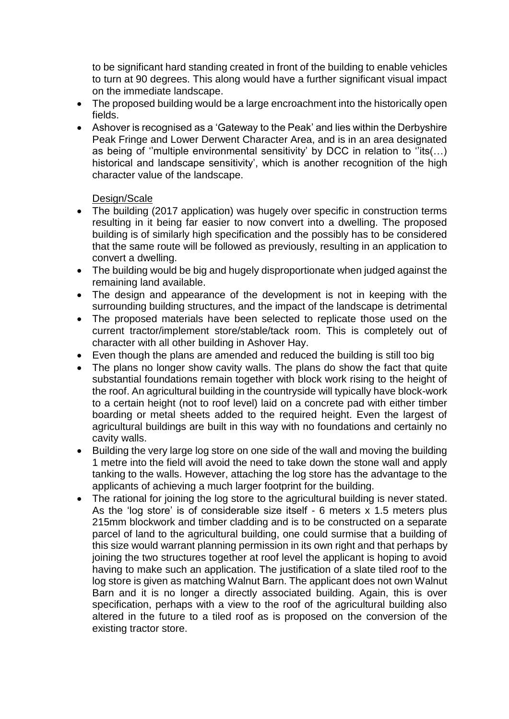to be significant hard standing created in front of the building to enable vehicles to turn at 90 degrees. This along would have a further significant visual impact on the immediate landscape.

- The proposed building would be a large encroachment into the historically open fields.
- Ashover is recognised as a 'Gateway to the Peak' and lies within the Derbyshire Peak Fringe and Lower Derwent Character Area, and is in an area designated as being of "multiple environmental sensitivity' by DCC in relation to  $\overline{u}$  its(...) historical and landscape sensitivity', which is another recognition of the high character value of the landscape.

# Design/Scale

- The building (2017 application) was hugely over specific in construction terms resulting in it being far easier to now convert into a dwelling. The proposed building is of similarly high specification and the possibly has to be considered that the same route will be followed as previously, resulting in an application to convert a dwelling.
- The building would be big and hugely disproportionate when judged against the remaining land available.
- The design and appearance of the development is not in keeping with the surrounding building structures, and the impact of the landscape is detrimental
- The proposed materials have been selected to replicate those used on the current tractor/implement store/stable/tack room. This is completely out of character with all other building in Ashover Hay.
- Even though the plans are amended and reduced the building is still too big
- The plans no longer show cavity walls. The plans do show the fact that quite substantial foundations remain together with block work rising to the height of the roof. An agricultural building in the countryside will typically have block-work to a certain height (not to roof level) laid on a concrete pad with either timber boarding or metal sheets added to the required height. Even the largest of agricultural buildings are built in this way with no foundations and certainly no cavity walls.
- Building the very large log store on one side of the wall and moving the building 1 metre into the field will avoid the need to take down the stone wall and apply tanking to the walls. However, attaching the log store has the advantage to the applicants of achieving a much larger footprint for the building.
- The rational for joining the log store to the agricultural building is never stated. As the 'log store' is of considerable size itself - 6 meters  $x$  1.5 meters plus 215mm blockwork and timber cladding and is to be constructed on a separate parcel of land to the agricultural building, one could surmise that a building of this size would warrant planning permission in its own right and that perhaps by joining the two structures together at roof level the applicant is hoping to avoid having to make such an application. The justification of a slate tiled roof to the log store is given as matching Walnut Barn. The applicant does not own Walnut Barn and it is no longer a directly associated building. Again, this is over specification, perhaps with a view to the roof of the agricultural building also altered in the future to a tiled roof as is proposed on the conversion of the existing tractor store.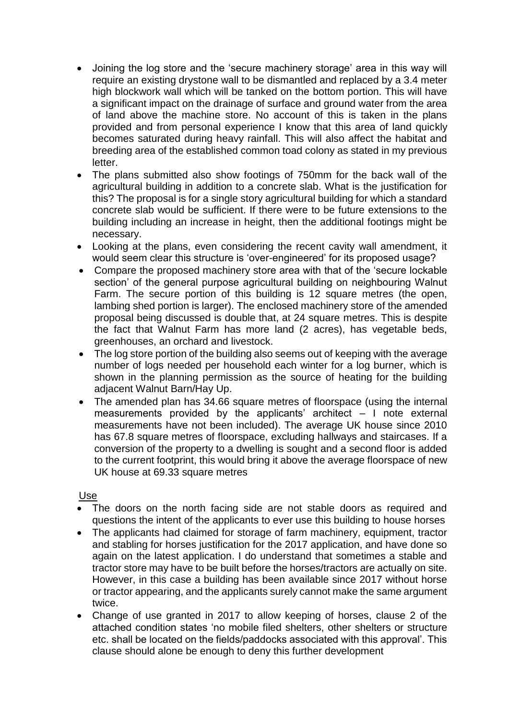- Joining the log store and the 'secure machinery storage' area in this way will require an existing drystone wall to be dismantled and replaced by a 3.4 meter high blockwork wall which will be tanked on the bottom portion. This will have a significant impact on the drainage of surface and ground water from the area of land above the machine store. No account of this is taken in the plans provided and from personal experience I know that this area of land quickly becomes saturated during heavy rainfall. This will also affect the habitat and breeding area of the established common toad colony as stated in my previous letter.
- The plans submitted also show footings of 750mm for the back wall of the agricultural building in addition to a concrete slab. What is the justification for this? The proposal is for a single story agricultural building for which a standard concrete slab would be sufficient. If there were to be future extensions to the building including an increase in height, then the additional footings might be necessary.
- Looking at the plans, even considering the recent cavity wall amendment, it would seem clear this structure is 'over-engineered' for its proposed usage?
- Compare the proposed machinery store area with that of the 'secure lockable section' of the general purpose agricultural building on neighbouring Walnut Farm. The secure portion of this building is 12 square metres (the open, lambing shed portion is larger). The enclosed machinery store of the amended proposal being discussed is double that, at 24 square metres. This is despite the fact that Walnut Farm has more land (2 acres), has vegetable beds, greenhouses, an orchard and livestock.
- The log store portion of the building also seems out of keeping with the average number of logs needed per household each winter for a log burner, which is shown in the planning permission as the source of heating for the building adjacent Walnut Barn/Hay Up.
- The amended plan has 34.66 square metres of floorspace (using the internal measurements provided by the applicants' architect  $-1$  note external measurements have not been included). The average UK house since 2010 has 67.8 square metres of floorspace, excluding hallways and staircases. If a conversion of the property to a dwelling is sought and a second floor is added to the current footprint, this would bring it above the average floorspace of new UK house at 69.33 square metres

## Use

- The doors on the north facing side are not stable doors as required and questions the intent of the applicants to ever use this building to house horses
- The applicants had claimed for storage of farm machinery, equipment, tractor and stabling for horses justification for the 2017 application, and have done so again on the latest application. I do understand that sometimes a stable and tractor store may have to be built before the horses/tractors are actually on site. However, in this case a building has been available since 2017 without horse or tractor appearing, and the applicants surely cannot make the same argument twice.
- Change of use granted in 2017 to allow keeping of horses, clause 2 of the attached condition states 'no mobile filed shelters, other shelters or structure etc. shall be located on the fields/paddocks associated with this approval'. This clause should alone be enough to deny this further development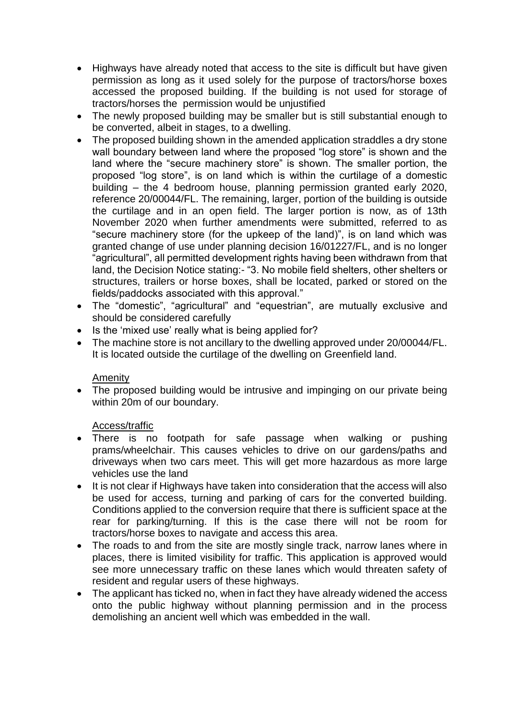- Highways have already noted that access to the site is difficult but have given permission as long as it used solely for the purpose of tractors/horse boxes accessed the proposed building. If the building is not used for storage of tractors/horses the permission would be unjustified
- The newly proposed building may be smaller but is still substantial enough to be converted, albeit in stages, to a dwelling.
- The proposed building shown in the amended application straddles a dry stone wall boundary between land where the proposed "log store" is shown and the land where the "secure machinery store" is shown. The smaller portion, the proposed "log store", is on land which is within the curtilage of a domestic building – the 4 bedroom house, planning permission granted early 2020, reference 20/00044/FL. The remaining, larger, portion of the building is outside the curtilage and in an open field. The larger portion is now, as of 13th November 2020 when further amendments were submitted, referred to as "secure machinery store (for the upkeep of the land)", is on land which was granted change of use under planning decision 16/01227/FL, and is no longer "agricultural", all permitted development rights having been withdrawn from that land, the Decision Notice stating:- "3. No mobile field shelters, other shelters or structures, trailers or horse boxes, shall be located, parked or stored on the fields/paddocks associated with this approval."
- The "domestic", "agricultural" and "equestrian", are mutually exclusive and should be considered carefully
- Is the 'mixed use' really what is being applied for?
- The machine store is not ancillary to the dwelling approved under 20/00044/FL. It is located outside the curtilage of the dwelling on Greenfield land.

## Amenity

• The proposed building would be intrusive and impinging on our private being within 20m of our boundary.

## Access/traffic

- There is no footpath for safe passage when walking or pushing prams/wheelchair. This causes vehicles to drive on our gardens/paths and driveways when two cars meet. This will get more hazardous as more large vehicles use the land
- It is not clear if Highways have taken into consideration that the access will also be used for access, turning and parking of cars for the converted building. Conditions applied to the conversion require that there is sufficient space at the rear for parking/turning. If this is the case there will not be room for tractors/horse boxes to navigate and access this area.
- The roads to and from the site are mostly single track, narrow lanes where in places, there is limited visibility for traffic. This application is approved would see more unnecessary traffic on these lanes which would threaten safety of resident and regular users of these highways.
- The applicant has ticked no, when in fact they have already widened the access onto the public highway without planning permission and in the process demolishing an ancient well which was embedded in the wall.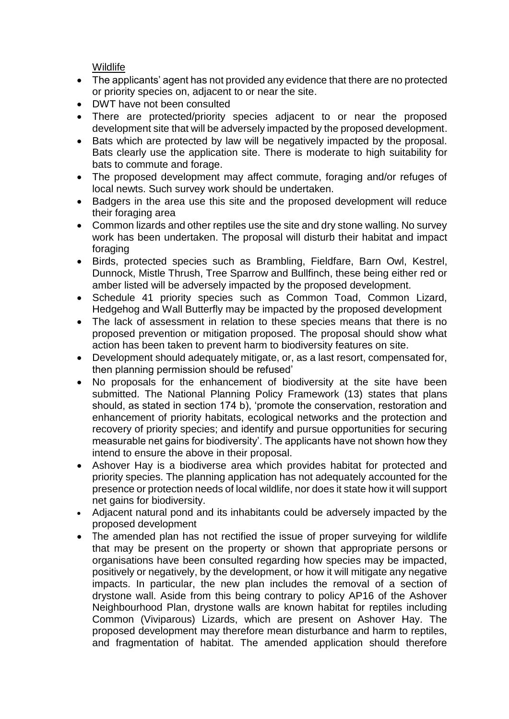Wildlife

- The applicants' agent has not provided any evidence that there are no protected or priority species on, adjacent to or near the site.
- DWT have not been consulted
- There are protected/priority species adjacent to or near the proposed development site that will be adversely impacted by the proposed development.
- Bats which are protected by law will be negatively impacted by the proposal. Bats clearly use the application site. There is moderate to high suitability for bats to commute and forage.
- The proposed development may affect commute, foraging and/or refuges of local newts. Such survey work should be undertaken.
- Badgers in the area use this site and the proposed development will reduce their foraging area
- Common lizards and other reptiles use the site and dry stone walling. No survey work has been undertaken. The proposal will disturb their habitat and impact foraging
- Birds, protected species such as Brambling, Fieldfare, Barn Owl, Kestrel, Dunnock, Mistle Thrush, Tree Sparrow and Bullfinch, these being either red or amber listed will be adversely impacted by the proposed development.
- Schedule 41 priority species such as Common Toad, Common Lizard, Hedgehog and Wall Butterfly may be impacted by the proposed development
- The lack of assessment in relation to these species means that there is no proposed prevention or mitigation proposed. The proposal should show what action has been taken to prevent harm to biodiversity features on site.
- Development should adequately mitigate, or, as a last resort, compensated for, then planning permission should be refused'
- No proposals for the enhancement of biodiversity at the site have been submitted. The National Planning Policy Framework (13) states that plans should, as stated in section 174 b), 'promote the conservation, restoration and enhancement of priority habitats, ecological networks and the protection and recovery of priority species; and identify and pursue opportunities for securing measurable net gains for biodiversity'. The applicants have not shown how they intend to ensure the above in their proposal.
- Ashover Hay is a biodiverse area which provides habitat for protected and priority species. The planning application has not adequately accounted for the presence or protection needs of local wildlife, nor does it state how it will support net gains for biodiversity.
- Adjacent natural pond and its inhabitants could be adversely impacted by the proposed development
- The amended plan has not rectified the issue of proper surveying for wildlife that may be present on the property or shown that appropriate persons or organisations have been consulted regarding how species may be impacted, positively or negatively, by the development, or how it will mitigate any negative impacts. In particular, the new plan includes the removal of a section of drystone wall. Aside from this being contrary to policy AP16 of the Ashover Neighbourhood Plan, drystone walls are known habitat for reptiles including Common (Viviparous) Lizards, which are present on Ashover Hay. The proposed development may therefore mean disturbance and harm to reptiles, and fragmentation of habitat. The amended application should therefore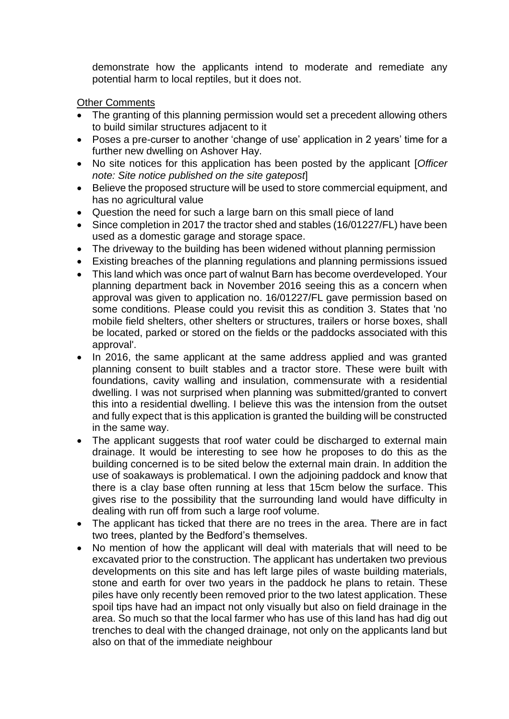demonstrate how the applicants intend to moderate and remediate any potential harm to local reptiles, but it does not.

Other Comments

- The granting of this planning permission would set a precedent allowing others to build similar structures adjacent to it
- Poses a pre-curser to another 'change of use' application in 2 years' time for a further new dwelling on Ashover Hay.
- No site notices for this application has been posted by the applicant [*Officer note: Site notice published on the site gatepost*]
- Believe the proposed structure will be used to store commercial equipment, and has no agricultural value
- Question the need for such a large barn on this small piece of land
- Since completion in 2017 the tractor shed and stables (16/01227/FL) have been used as a domestic garage and storage space.
- The driveway to the building has been widened without planning permission
- Existing breaches of the planning regulations and planning permissions issued
- This land which was once part of walnut Barn has become overdeveloped. Your planning department back in November 2016 seeing this as a concern when approval was given to application no. 16/01227/FL gave permission based on some conditions. Please could you revisit this as condition 3. States that 'no mobile field shelters, other shelters or structures, trailers or horse boxes, shall be located, parked or stored on the fields or the paddocks associated with this approval'.
- In 2016, the same applicant at the same address applied and was granted planning consent to built stables and a tractor store. These were built with foundations, cavity walling and insulation, commensurate with a residential dwelling. I was not surprised when planning was submitted/granted to convert this into a residential dwelling. I believe this was the intension from the outset and fully expect that is this application is granted the building will be constructed in the same way.
- The applicant suggests that roof water could be discharged to external main drainage. It would be interesting to see how he proposes to do this as the building concerned is to be sited below the external main drain. In addition the use of soakaways is problematical. I own the adjoining paddock and know that there is a clay base often running at less that 15cm below the surface. This gives rise to the possibility that the surrounding land would have difficulty in dealing with run off from such a large roof volume.
- The applicant has ticked that there are no trees in the area. There are in fact two trees, planted by the Bedford's themselves.
- No mention of how the applicant will deal with materials that will need to be excavated prior to the construction. The applicant has undertaken two previous developments on this site and has left large piles of waste building materials, stone and earth for over two years in the paddock he plans to retain. These piles have only recently been removed prior to the two latest application. These spoil tips have had an impact not only visually but also on field drainage in the area. So much so that the local farmer who has use of this land has had dig out trenches to deal with the changed drainage, not only on the applicants land but also on that of the immediate neighbour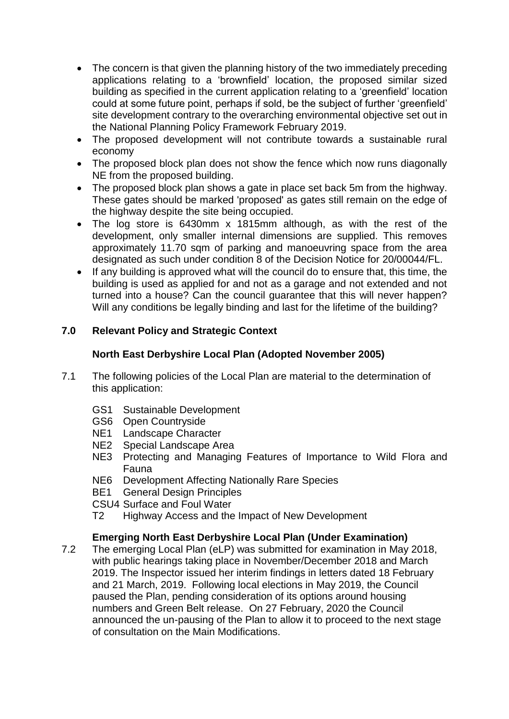- The concern is that given the planning history of the two immediately preceding applications relating to a 'brownfield' location, the proposed similar sized building as specified in the current application relating to a 'greenfield' location could at some future point, perhaps if sold, be the subject of further 'greenfield' site development contrary to the overarching environmental objective set out in the National Planning Policy Framework February 2019.
- The proposed development will not contribute towards a sustainable rural economy
- The proposed block plan does not show the fence which now runs diagonally NE from the proposed building.
- The proposed block plan shows a gate in place set back 5m from the highway. These gates should be marked 'proposed' as gates still remain on the edge of the highway despite the site being occupied.
- The log store is 6430mm x 1815mm although, as with the rest of the development, only smaller internal dimensions are supplied. This removes approximately 11.70 sqm of parking and manoeuvring space from the area designated as such under condition 8 of the Decision Notice for 20/00044/FL.
- If any building is approved what will the council do to ensure that, this time, the building is used as applied for and not as a garage and not extended and not turned into a house? Can the council guarantee that this will never happen? Will any conditions be legally binding and last for the lifetime of the building?

# **7.0 Relevant Policy and Strategic Context**

# **North East Derbyshire Local Plan (Adopted November 2005)**

- 7.1 The following policies of the Local Plan are material to the determination of this application:
	- GS1 Sustainable Development
	- GS6 Open Countryside
	- NE1 Landscape Character
	- NE2 Special Landscape Area
	- NE3 Protecting and Managing Features of Importance to Wild Flora and Fauna
	- NE6 Development Affecting Nationally Rare Species
	- BE1 General Design Principles
	- CSU4 Surface and Foul Water
	- T2 Highway Access and the Impact of New Development

# **Emerging North East Derbyshire Local Plan (Under Examination)**

7.2 The emerging Local Plan (eLP) was submitted for examination in May 2018, with public hearings taking place in November/December 2018 and March 2019. The Inspector issued her interim findings in letters dated 18 February and 21 March, 2019. Following local elections in May 2019, the Council paused the Plan, pending consideration of its options around housing numbers and Green Belt release. On 27 February, 2020 the Council announced the un-pausing of the Plan to allow it to proceed to the next stage of consultation on the Main Modifications.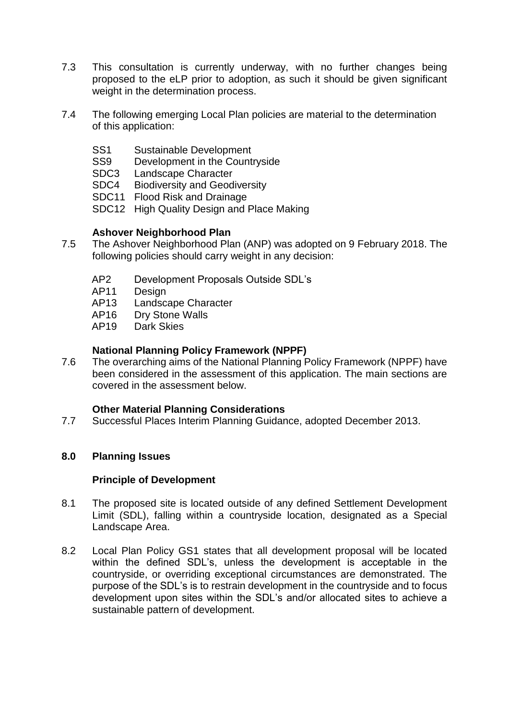- 7.3 This consultation is currently underway, with no further changes being proposed to the eLP prior to adoption, as such it should be given significant weight in the determination process.
- 7.4 The following emerging Local Plan policies are material to the determination of this application:
	- SS1 Sustainable Development
	- SS9 Development in the Countryside
	- SDC3 Landscape Character
	- SDC4 Biodiversity and Geodiversity
	- SDC11 Flood Risk and Drainage
	- SDC12 High Quality Design and Place Making

## **Ashover Neighborhood Plan**

- 7.5 The Ashover Neighborhood Plan (ANP) was adopted on 9 February 2018. The following policies should carry weight in any decision:
	- AP2 Development Proposals Outside SDL's
	- AP11 Design
	- AP13 Landscape Character
	- AP16 Dry Stone Walls
	- AP19 Dark Skies

#### **National Planning Policy Framework (NPPF)**

7.6 The overarching aims of the National Planning Policy Framework (NPPF) have been considered in the assessment of this application. The main sections are covered in the assessment below.

#### **Other Material Planning Considerations**

7.7 Successful Places Interim Planning Guidance, adopted December 2013.

#### **8.0 Planning Issues**

#### **Principle of Development**

- 8.1 The proposed site is located outside of any defined Settlement Development Limit (SDL), falling within a countryside location, designated as a Special Landscape Area.
- 8.2 Local Plan Policy GS1 states that all development proposal will be located within the defined SDL's, unless the development is acceptable in the countryside, or overriding exceptional circumstances are demonstrated. The purpose of the SDL's is to restrain development in the countryside and to focus development upon sites within the SDL's and/or allocated sites to achieve a sustainable pattern of development.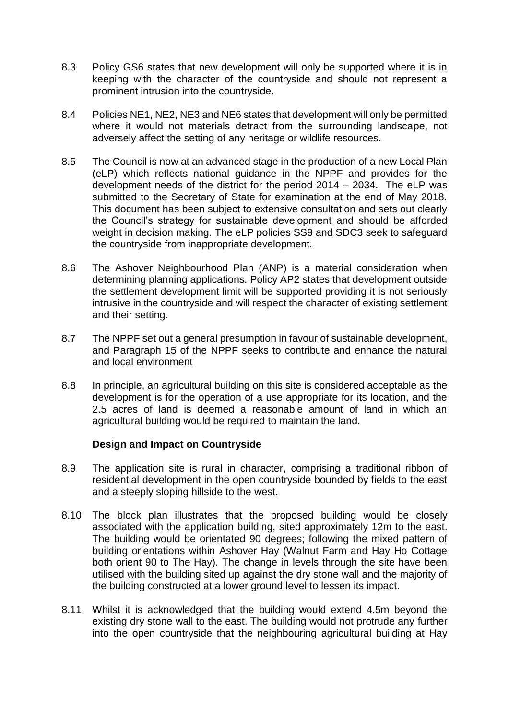- 8.3 Policy GS6 states that new development will only be supported where it is in keeping with the character of the countryside and should not represent a prominent intrusion into the countryside.
- 8.4 Policies NE1, NE2, NE3 and NE6 states that development will only be permitted where it would not materials detract from the surrounding landscape, not adversely affect the setting of any heritage or wildlife resources.
- 8.5 The Council is now at an advanced stage in the production of a new Local Plan (eLP) which reflects national guidance in the NPPF and provides for the development needs of the district for the period 2014 – 2034. The eLP was submitted to the Secretary of State for examination at the end of May 2018. This document has been subject to extensive consultation and sets out clearly the Council's strategy for sustainable development and should be afforded weight in decision making. The eLP policies SS9 and SDC3 seek to safeguard the countryside from inappropriate development.
- 8.6 The Ashover Neighbourhood Plan (ANP) is a material consideration when determining planning applications. Policy AP2 states that development outside the settlement development limit will be supported providing it is not seriously intrusive in the countryside and will respect the character of existing settlement and their setting.
- 8.7 The NPPF set out a general presumption in favour of sustainable development, and Paragraph 15 of the NPPF seeks to contribute and enhance the natural and local environment
- 8.8 In principle, an agricultural building on this site is considered acceptable as the development is for the operation of a use appropriate for its location, and the 2.5 acres of land is deemed a reasonable amount of land in which an agricultural building would be required to maintain the land.

## **Design and Impact on Countryside**

- 8.9 The application site is rural in character, comprising a traditional ribbon of residential development in the open countryside bounded by fields to the east and a steeply sloping hillside to the west.
- 8.10 The block plan illustrates that the proposed building would be closely associated with the application building, sited approximately 12m to the east. The building would be orientated 90 degrees; following the mixed pattern of building orientations within Ashover Hay (Walnut Farm and Hay Ho Cottage both orient 90 to The Hay). The change in levels through the site have been utilised with the building sited up against the dry stone wall and the majority of the building constructed at a lower ground level to lessen its impact.
- 8.11 Whilst it is acknowledged that the building would extend 4.5m beyond the existing dry stone wall to the east. The building would not protrude any further into the open countryside that the neighbouring agricultural building at Hay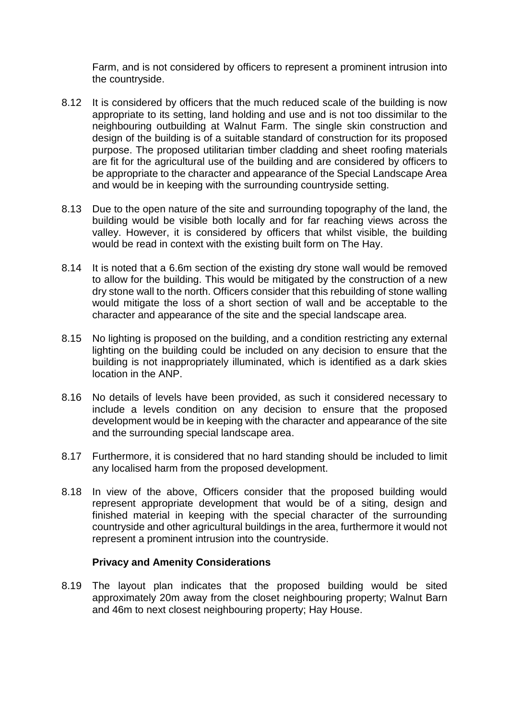Farm, and is not considered by officers to represent a prominent intrusion into the countryside.

- 8.12 It is considered by officers that the much reduced scale of the building is now appropriate to its setting, land holding and use and is not too dissimilar to the neighbouring outbuilding at Walnut Farm. The single skin construction and design of the building is of a suitable standard of construction for its proposed purpose. The proposed utilitarian timber cladding and sheet roofing materials are fit for the agricultural use of the building and are considered by officers to be appropriate to the character and appearance of the Special Landscape Area and would be in keeping with the surrounding countryside setting.
- 8.13 Due to the open nature of the site and surrounding topography of the land, the building would be visible both locally and for far reaching views across the valley. However, it is considered by officers that whilst visible, the building would be read in context with the existing built form on The Hay.
- 8.14 It is noted that a 6.6m section of the existing dry stone wall would be removed to allow for the building. This would be mitigated by the construction of a new dry stone wall to the north. Officers consider that this rebuilding of stone walling would mitigate the loss of a short section of wall and be acceptable to the character and appearance of the site and the special landscape area.
- 8.15 No lighting is proposed on the building, and a condition restricting any external lighting on the building could be included on any decision to ensure that the building is not inappropriately illuminated, which is identified as a dark skies location in the ANP.
- 8.16 No details of levels have been provided, as such it considered necessary to include a levels condition on any decision to ensure that the proposed development would be in keeping with the character and appearance of the site and the surrounding special landscape area.
- 8.17 Furthermore, it is considered that no hard standing should be included to limit any localised harm from the proposed development.
- 8.18 In view of the above, Officers consider that the proposed building would represent appropriate development that would be of a siting, design and finished material in keeping with the special character of the surrounding countryside and other agricultural buildings in the area, furthermore it would not represent a prominent intrusion into the countryside.

## **Privacy and Amenity Considerations**

8.19 The layout plan indicates that the proposed building would be sited approximately 20m away from the closet neighbouring property; Walnut Barn and 46m to next closest neighbouring property; Hay House.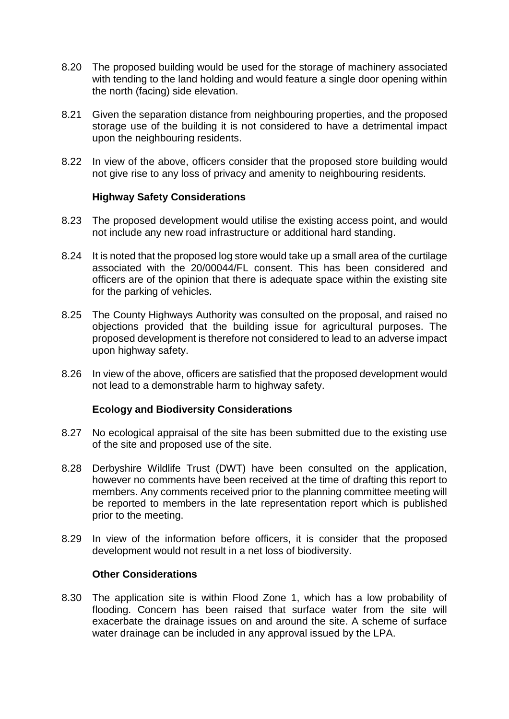- 8.20 The proposed building would be used for the storage of machinery associated with tending to the land holding and would feature a single door opening within the north (facing) side elevation.
- 8.21 Given the separation distance from neighbouring properties, and the proposed storage use of the building it is not considered to have a detrimental impact upon the neighbouring residents.
- 8.22 In view of the above, officers consider that the proposed store building would not give rise to any loss of privacy and amenity to neighbouring residents.

#### **Highway Safety Considerations**

- 8.23 The proposed development would utilise the existing access point, and would not include any new road infrastructure or additional hard standing.
- 8.24 It is noted that the proposed log store would take up a small area of the curtilage associated with the 20/00044/FL consent. This has been considered and officers are of the opinion that there is adequate space within the existing site for the parking of vehicles.
- 8.25 The County Highways Authority was consulted on the proposal, and raised no objections provided that the building issue for agricultural purposes. The proposed development is therefore not considered to lead to an adverse impact upon highway safety.
- 8.26 In view of the above, officers are satisfied that the proposed development would not lead to a demonstrable harm to highway safety.

## **Ecology and Biodiversity Considerations**

- 8.27 No ecological appraisal of the site has been submitted due to the existing use of the site and proposed use of the site.
- 8.28 Derbyshire Wildlife Trust (DWT) have been consulted on the application, however no comments have been received at the time of drafting this report to members. Any comments received prior to the planning committee meeting will be reported to members in the late representation report which is published prior to the meeting.
- 8.29 In view of the information before officers, it is consider that the proposed development would not result in a net loss of biodiversity.

#### **Other Considerations**

8.30 The application site is within Flood Zone 1, which has a low probability of flooding. Concern has been raised that surface water from the site will exacerbate the drainage issues on and around the site. A scheme of surface water drainage can be included in any approval issued by the LPA.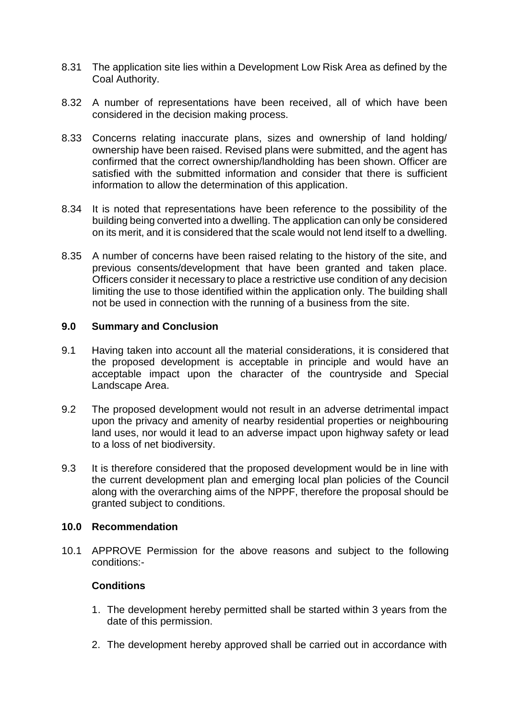- 8.31 The application site lies within a Development Low Risk Area as defined by the Coal Authority.
- 8.32 A number of representations have been received, all of which have been considered in the decision making process.
- 8.33 Concerns relating inaccurate plans, sizes and ownership of land holding/ ownership have been raised. Revised plans were submitted, and the agent has confirmed that the correct ownership/landholding has been shown. Officer are satisfied with the submitted information and consider that there is sufficient information to allow the determination of this application.
- 8.34 It is noted that representations have been reference to the possibility of the building being converted into a dwelling. The application can only be considered on its merit, and it is considered that the scale would not lend itself to a dwelling.
- 8.35 A number of concerns have been raised relating to the history of the site, and previous consents/development that have been granted and taken place. Officers consider it necessary to place a restrictive use condition of any decision limiting the use to those identified within the application only. The building shall not be used in connection with the running of a business from the site.

#### **9.0 Summary and Conclusion**

- 9.1 Having taken into account all the material considerations, it is considered that the proposed development is acceptable in principle and would have an acceptable impact upon the character of the countryside and Special Landscape Area.
- 9.2 The proposed development would not result in an adverse detrimental impact upon the privacy and amenity of nearby residential properties or neighbouring land uses, nor would it lead to an adverse impact upon highway safety or lead to a loss of net biodiversity.
- 9.3 It is therefore considered that the proposed development would be in line with the current development plan and emerging local plan policies of the Council along with the overarching aims of the NPPF, therefore the proposal should be granted subject to conditions.

#### **10.0 Recommendation**

10.1 APPROVE Permission for the above reasons and subject to the following conditions:-

## **Conditions**

- 1. The development hereby permitted shall be started within 3 years from the date of this permission.
- 2. The development hereby approved shall be carried out in accordance with